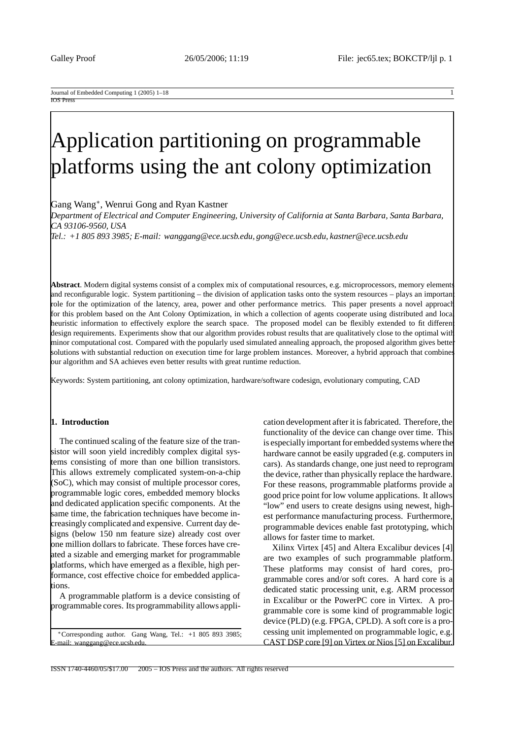Gang Wang∗, Wenrui Gong and Ryan Kastner

*Department of Electrical and Computer Engineering, University of California at Santa Barbara, Santa Barbara, CA 93106-9560, USA*

*Tel.: +1 805 893 3985; E-mail: wanggang@ece.ucsb.edu, gong@ece.ucsb.edu, kastner@ece.ucsb.edu*

**Abstract**. Modern digital systems consist of a complex mix of computational resources, e.g. microprocessors, memory elements and reconfigurable logic. System partitioning – the division of application tasks onto the system resources – plays an importan role for the optimization of the latency, area, power and other performance metrics. This paper presents a novel approach for this problem based on the Ant Colony Optimization, in which a collection of agents cooperate using distributed and local heuristic information to effectively explore the search space. The proposed model can be flexibly extended to fit different design requirements. Experiments show that our algorithm provides robust results that are qualitatively close to the optimal with minor computational cost. Compared with the popularly used simulated annealing approach, the proposed algorithm gives better solutions with substantial reduction on execution time for large problem instances. Moreover, a hybrid approach that combines our algorithm and SA achieves even better results with great runtime reduction.

Keywords: System partitioning, ant colony optimization, hardware/software codesign, evolutionary computing, CAD

# **1. Introduction**

The continued scaling of the feature size of the transistor will soon yield incredibly complex digital systems consisting of more than one billion transistors. This allows extremely complicated system-on-a-chip (SoC), which may consist of multiple processor cores, programmable logic cores, embedded memory blocks and dedicated application specific components. At the same time, the fabrication techniques have become increasingly complicated and expensive. Current day designs (below 150 nm feature size) already cost over one million dollars to fabricate. These forces have created a sizable and emerging market for programmable platforms, which have emerged as a flexible, high performance, cost effective choice for embedded applications.

A programmable platform is a device consisting of programmable cores. Its programmability allows appli-

∗Corresponding author. Gang Wang, Tel.: +1 805 893 3985; mail: wanggang@ece.ucsb.edu

cation development after it is fabricated. Therefore, the functionality of the device can change over time. This is especially important for embedded systems where the hardware cannot be easily upgraded (e.g. computers in cars). As standards change, one just need to reprogram the device, rather than physically replace the hardware. For these reasons, programmable platforms provide a good price point for low volume applications. It allows "low" end users to create designs using newest, highest performance manufacturing process. Furthermore, programmable devices enable fast prototyping, which allows for faster time to market.

Xilinx Virtex [45] and Altera Excalibur devices [4] are two examples of such programmable platform. These platforms may consist of hard cores, programmable cores and/or soft cores. A hard core is a dedicated static processing unit, e.g. ARM processor in Excalibur or the PowerPC core in Virtex. A programmable core is some kind of programmable logic device (PLD) (e.g. FPGA, CPLD). A soft core is a processing unit implemented on programmable logic, e.g. CAST DSP core [9] on Virtex or Nios [5] on Excalibur.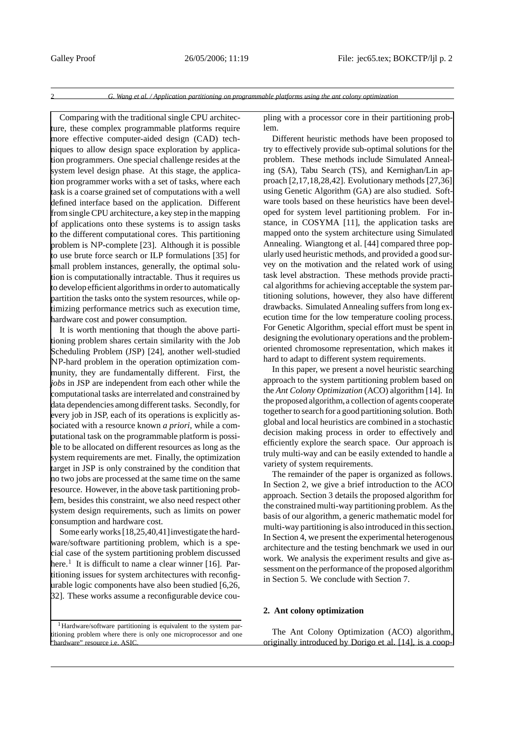Comparing with the traditional single CPU architecture, these complex programmable platforms require more effective computer-aided design (CAD) techniques to allow design space exploration by application programmers. One special challenge resides at the system level design phase. At this stage, the application programmer works with a set of tasks, where each task is a coarse grained set of computations with a well defined interface based on the application. Different from single CPU architecture, a key step in the mapping of applications onto these systems is to assign tasks to the different computational cores. This partitioning problem is NP-complete [23]. Although it is possible to use brute force search or ILP formulations [35] for small problem instances, generally, the optimal solution is computationally intractable. Thus it requires us to develop efficient algorithms in order to automatically partition the tasks onto the system resources, while optimizing performance metrics such as execution time, hardware cost and power consumption.

It is worth mentioning that though the above partitioning problem shares certain similarity with the Job Scheduling Problem (JSP) [24], another well-studied NP-hard problem in the operation optimization community, they are fundamentally different. First, the *jobs* in JSP are independent from each other while the computational tasks are interrelated and constrained by data dependencies among different tasks. Secondly, for every job in JSP, each of its operations is explicitly associated with a resource known *a priori*, while a computational task on the programmable platform is possible to be allocated on different resources as long as the system requirements are met. Finally, the optimization target in JSP is only constrained by the condition that no two jobs are processed at the same time on the same resource. However, in the above task partitioning problem, besides this constraint, we also need respect other system design requirements, such as limits on power consumption and hardware cost.

Some early works [18,25,40,41]investigate the hardware/software partitioning problem, which is a special case of the system partitioning problem discussed here.<sup>1</sup> It is difficult to name a clear winner [16]. Partitioning issues for system architectures with reconfigurable logic components have also been studied [6,26, 32]. These works assume a reconfigurable device cou-

<sup>1</sup>Hardware/software partitioning is equivalent to the system partitioning problem where there is only one microprocessor and one "hardware" resource i.e. ASIC.

pling with a processor core in their partitioning problem.

Different heuristic methods have been proposed to try to effectively provide sub-optimal solutions for the problem. These methods include Simulated Annealing (SA), Tabu Search (TS), and Kernighan/Lin approach [2,17,18,28,42]. Evolutionary methods [27,36] using Genetic Algorithm (GA) are also studied. Software tools based on these heuristics have been developed for system level partitioning problem. For instance, in COSYMA [11], the application tasks are mapped onto the system architecture using Simulated Annealing. Wiangtong et al. [44] compared three popularly used heuristic methods, and provided a good survey on the motivation and the related work of using task level abstraction. These methods provide practical algorithms for achieving acceptable the system partitioning solutions, however, they also have different drawbacks. Simulated Annealing suffers from long execution time for the low temperature cooling process. For Genetic Algorithm, special effort must be spent in designing the evolutionary operations and the problemoriented chromosome representation, which makes it hard to adapt to different system requirements.

In this paper, we present a novel heuristic searching approach to the system partitioning problem based on the *Ant Colony Optimization* (ACO) algorithm [14]. In the proposed algorithm,a collection of agents cooperate together to search for a good partitioning solution. Both global and local heuristics are combined in a stochastic decision making process in order to effectively and efficiently explore the search space. Our approach is truly multi-way and can be easily extended to handle a variety of system requirements.

The remainder of the paper is organized as follows. In Section 2, we give a brief introduction to the ACO approach. Section 3 details the proposed algorithm for the constrained multi-way partitioning problem. As the basis of our algorithm, a generic mathematic model for multi-way partitioning is also introduced in this section. In Section 4, we present the experimental heterogenous architecture and the testing benchmark we used in our work. We analysis the experiment results and give assessment on the performance of the proposed algorithm in Section 5. We conclude with Section 7.

## **2. Ant colony optimization**

The Ant Colony Optimization (ACO) algorithm, originally introduced by Dorigo et al. [14], is a coop-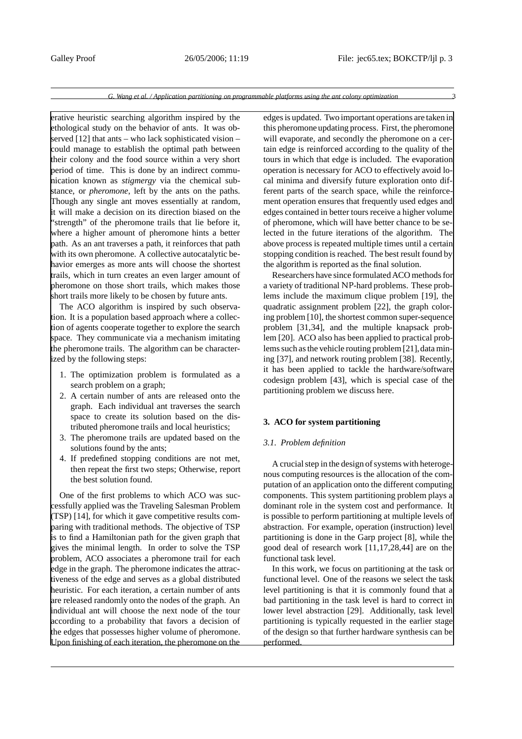erative heuristic searching algorithm inspired by the ethological study on the behavior of ants. It was observed [12] that ants – who lack sophisticated vision – could manage to establish the optimal path between their colony and the food source within a very short period of time. This is done by an indirect communication known as *stigmergy* via the chemical substance, or *pheromone*, left by the ants on the paths. Though any single ant moves essentially at random, it will make a decision on its direction biased on the "strength" of the pheromone trails that lie before it, where a higher amount of pheromone hints a better path. As an ant traverses a path, it reinforces that path with its own pheromone. A collective autocatalytic behavior emerges as more ants will choose the shortest trails, which in turn creates an even larger amount of pheromone on those short trails, which makes those short trails more likely to be chosen by future ants.

The ACO algorithm is inspired by such observation. It is a population based approach where a collection of agents cooperate together to explore the search space. They communicate via a mechanism imitating the pheromone trails. The algorithm can be characterized by the following steps:

- 1. The optimization problem is formulated as a search problem on a graph;
- 2. A certain number of ants are released onto the graph. Each individual ant traverses the search space to create its solution based on the distributed pheromone trails and local heuristics;
- 3. The pheromone trails are updated based on the solutions found by the ants;
- 4. If predefined stopping conditions are not met, then repeat the first two steps; Otherwise, report the best solution found.

One of the first problems to which ACO was successfully applied was the Traveling Salesman Problem (TSP) [14], for which it gave competitive results comparing with traditional methods. The objective of TSP is to find a Hamiltonian path for the given graph that gives the minimal length. In order to solve the TSP problem, ACO associates a pheromone trail for each edge in the graph. The pheromone indicates the attractiveness of the edge and serves as a global distributed heuristic. For each iteration, a certain number of ants are released randomly onto the nodes of the graph. An individual ant will choose the next node of the tour according to a probability that favors a decision of the edges that possesses higher volume of pheromone. Upon finishing of each iteration, the pheromone on the edges is updated. Two important operations are taken in this pheromone updating process. First, the pheromone will evaporate, and secondly the pheromone on a certain edge is reinforced according to the quality of the tours in which that edge is included. The evaporation operation is necessary for ACO to effectively avoid local minima and diversify future exploration onto different parts of the search space, while the reinforcement operation ensures that frequently used edges and edges contained in better tours receive a higher volume of pheromone, which will have better chance to be selected in the future iterations of the algorithm. The above process is repeated multiple times until a certain stopping condition is reached. The best result found by the algorithm is reported as the final solution.

Researchers have since formulated ACO methods for a variety of traditional NP-hard problems. These problems include the maximum clique problem [19], the quadratic assignment problem [22], the graph coloring problem [10], the shortest common super-sequence problem [31,34], and the multiple knapsack problem [20]. ACO also has been applied to practical problems such as the vehicle routing problem [21], data mining [37], and network routing problem [38]. Recently, it has been applied to tackle the hardware/software codesign problem [43], which is special case of the partitioning problem we discuss here.

# **3. ACO for system partitioning**

#### *3.1. Problem definition*

A crucial step in the design of systems with heterogenous computing resources is the allocation of the computation of an application onto the different computing components. This system partitioning problem plays a dominant role in the system cost and performance. It is possible to perform partitioning at multiple levels of abstraction. For example, operation (instruction) level partitioning is done in the Garp project [8], while the good deal of research work [11,17,28,44] are on the functional task level.

In this work, we focus on partitioning at the task or functional level. One of the reasons we select the task level partitioning is that it is commonly found that a bad partitioning in the task level is hard to correct in lower level abstraction [29]. Additionally, task level partitioning is typically requested in the earlier stage of the design so that further hardware synthesis can be performed.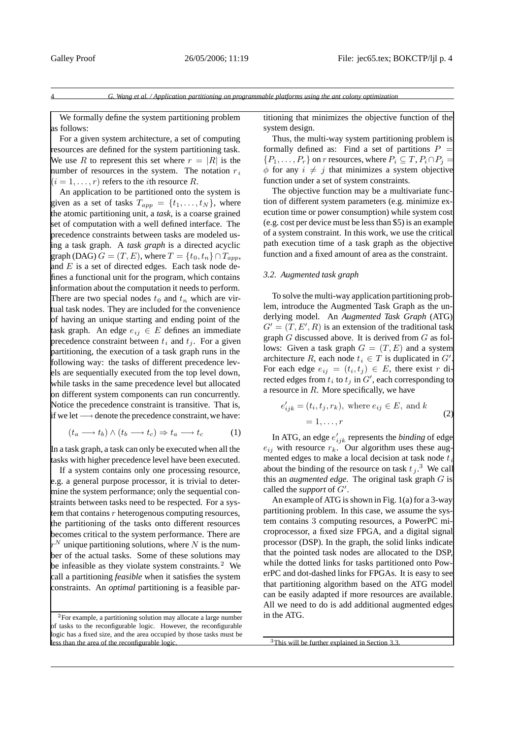We formally define the system partitioning problem as follows:

For a given system architecture, a set of computing resources are defined for the system partitioning task. We use R to represent this set where  $r = |R|$  is the number of resources in the system. The notation  $r_i$  $(i = 1, \ldots, r)$  refers to the *i*th resource R.

An application to be partitioned onto the system is given as a set of tasks  $T_{app} = \{t_1, \ldots, t_N\}$ , where the atomic partitioning unit, a *task*, is a coarse grained set of computation with a well defined interface. The precedence constraints between tasks are modeled using a task graph. A *task graph* is a directed acyclic graph (DAG)  $G = (T, E)$ , where  $T = \{t_0, t_n\} \cap T_{app}$ , and  $E$  is a set of directed edges. Each task node defines a functional unit for the program, which contains information about the computation it needs to perform. There are two special nodes  $t_0$  and  $t_n$  which are virtual task nodes. They are included for the convenience of having an unique starting and ending point of the task graph. An edge  $e_{ij} \in E$  defines an immediate precedence constraint between  $t_i$  and  $t_j$ . For a given partitioning, the execution of a task graph runs in the following way: the tasks of different precedence levels are sequentially executed from the top level down, while tasks in the same precedence level but allocated on different system components can run concurrently. Notice the precedence constraint is transitive. That is, if we let  $\longrightarrow$  denote the precedence constraint, we have:

$$
(t_a \longrightarrow t_b) \land (t_b \longrightarrow t_c) \Rightarrow t_a \longrightarrow t_c \tag{1}
$$

In a task graph, a task can only be executed when all the tasks with higher precedence level have been executed.

If a system contains only one processing resource, e.g. a general purpose processor, it is trivial to determine the system performance; only the sequential constraints between tasks need to be respected. For a system that contains  $r$  heterogenous computing resources, the partitioning of the tasks onto different resources becomes critical to the system performance. There are  $r^N$  unique partitioning solutions, where N is the number of the actual tasks. Some of these solutions may be infeasible as they violate system constraints.<sup>2</sup> We call a partitioning *feasible* when it satisfies the system constraints. An *optimal* partitioning is a feasible par-

<sup>2</sup>For example, a partitioning solution may allocate a large number of tasks to the reconfigurable logic. However, the reconfigurable logic has a fixed size, and the area occupied by those tasks must be  $\overline{\text{d}}$  is than the area of the reconfigurable logic.

titioning that minimizes the objective function of the system design.

Thus, the multi-way system partitioning problem is formally defined as: Find a set of partitions  $P =$  ${P_1,\ldots,P_r}$  on r resources, where  $P_i \subseteq T, P_i \cap P_i =$  $\phi$  for any  $i \neq j$  that minimizes a system objective function under a set of system constraints.

The objective function may be a multivariate function of different system parameters (e.g. minimize execution time or power consumption) while system cost (e.g. cost per device must be less than \$5) is an example of a system constraint. In this work, we use the critical path execution time of a task graph as the objective function and a fixed amount of area as the constraint.

#### *3.2. Augmented task graph*

To solve the multi-way application partitioning problem, introduce the Augmented Task Graph as the underlying model. An *Augmented Task Graph* (ATG)  $G' = (T, E', R)$  is an extension of the traditional task graph  $G$  discussed above. It is derived from  $G$  as follows: Given a task graph  $G = (T, E)$  and a system architecture R, each node  $t_i \in T$  is duplicated in  $G'$ . For each edge  $e_{ij} = (t_i, t_j) \in E$ , there exist r directed edges from  $t_i$  to  $t_j$  in  $G'$ , each corresponding to a resource in  $R$ . More specifically, we have

$$
e'_{ijk} = (t_i, t_j, r_k), \text{ where } e_{ij} \in E, \text{ and } k
$$
  
= 1, ..., r (2)

In ATG, an edge  $e'_{ijk}$  represents the *binding* of edge  $e_{ij}$  with resource  $r_k$ . Our algorithm uses these augmented edges to make a local decision at task node  $t$ . about the binding of the resource on task  $t_j$ .<sup>3</sup> We call this an *augmented edge*. The original task graph G is called the *support* of  $G'$ .

An example of ATG is shown in Fig. 1(a) for a 3-way partitioning problem. In this case, we assume the system contains 3 computing resources, a PowerPC microprocessor, a fixed size FPGA, and a digital signal processor (DSP). In the graph, the solid links indicate that the pointed task nodes are allocated to the DSP, while the dotted links for tasks partitioned onto PowerPC and dot-dashed links for FPGAs. It is easy to see that partitioning algorithm based on the ATG model can be easily adapted if more resources are available. All we need to do is add additional augmented edges in the ATG.

<sup>3</sup>This will be further explained in Section 3.3.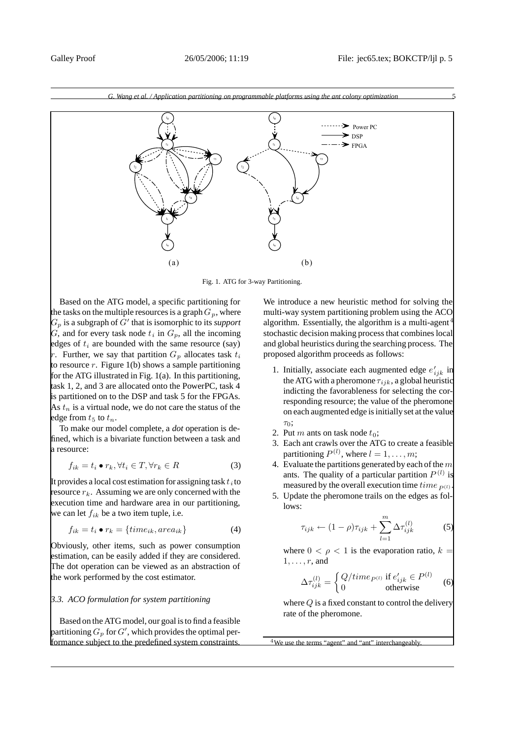

Fig. 1. ATG for 3-way Partitioning.

Based on the ATG model, a specific partitioning for the tasks on the multiple resources is a graph  $G_p$ , where  $G_p$  is a subgraph of  $G'$  that is isomorphic to its *support* G, and for every task node  $t_i$  in  $G_p$ , all the incoming edges of  $t_i$  are bounded with the same resource (say) r. Further, we say that partition  $G_p$  allocates task  $t_i$ to resource  $r$ . Figure 1(b) shows a sample partitioning for the ATG illustrated in Fig. 1(a). In this partitioning, task 1, 2, and 3 are allocated onto the PowerPC, task 4 is partitioned on to the DSP and task 5 for the FPGAs. As  $t_n$  is a virtual node, we do not care the status of the edge from  $t_5$  to  $t_n$ .

To make our model complete, a *dot* operation is defined, which is a bivariate function between a task and a resource:

$$
f_{ik} = t_i \bullet r_k, \forall t_i \in T, \forall r_k \in R
$$
\n(3)

It provides a local cost estimation for assigning task  $t_i$  to resource  $r_k$ . Assuming we are only concerned with the execution time and hardware area in our partitioning, we can let  $f_{ik}$  be a two item tuple, i.e.

$$
f_{ik} = t_i \bullet r_k = \{time_{ik}, area_{ik}\}\tag{4}
$$

Obviously, other items, such as power consumption estimation, can be easily added if they are considered. The dot operation can be viewed as an abstraction of the work performed by the cost estimator.

# *3.3. ACO formulation for system partitioning*

Based on the ATG model, our goal is to find a feasible partitioning  $G_p$  for  $G^\prime$ , which provides the optimal performance subject to the predefined system constraints.

We introduce a new heuristic method for solving the multi-way system partitioning problem using the ACO algorithm. Essentially, the algorithm is a multi-agent<sup>4</sup> stochastic decision making process that combines local and global heuristics during the searching process. The proposed algorithm proceeds as follows:

- 1. Initially, associate each augmented edge  $e'_{ijk}$  in the ATG with a pheromone  $\tau_{ijk}$ , a global heuristic indicting the favorableness for selecting the corresponding resource; the value of the pheromone on each augmented edge is initially set at the value  $\tau_0$ ;
- 2. Put m ants on task node  $t_0$ ;
- 3. Each ant crawls over the ATG to create a feasible partitioning  $P^{(l)}$ , where  $l = 1, \ldots, m$ ;
- 4. Evaluate the partitions generated by each of the  $m$ ants. The quality of a particular partition  $P^{(l)}$  is measured by the overall execution time  $time_{P(l)}$
- 5. Update the pheromone trails on the edges as follows:

$$
\tau_{ijk} \leftarrow (1 - \rho)\tau_{ijk} + \sum_{l=1}^{m} \Delta \tau_{ijk}^{(l)} \tag{5}
$$

where  $0 < \rho < 1$  is the evaporation ratio,  $k =$  $1, \ldots, r$ , and

$$
\Delta \tau_{ijk}^{(l)} = \begin{cases} Q/time_{P^{(l)}} \text{ if } e'_{ijk} \in P^{(l)}\\ 0 \text{ otherwise} \end{cases} \tag{6}
$$

where  $Q$  is a fixed constant to control the delivery rate of the pheromone.

<sup>4</sup>We use the terms "agent" and "ant" interchangeably.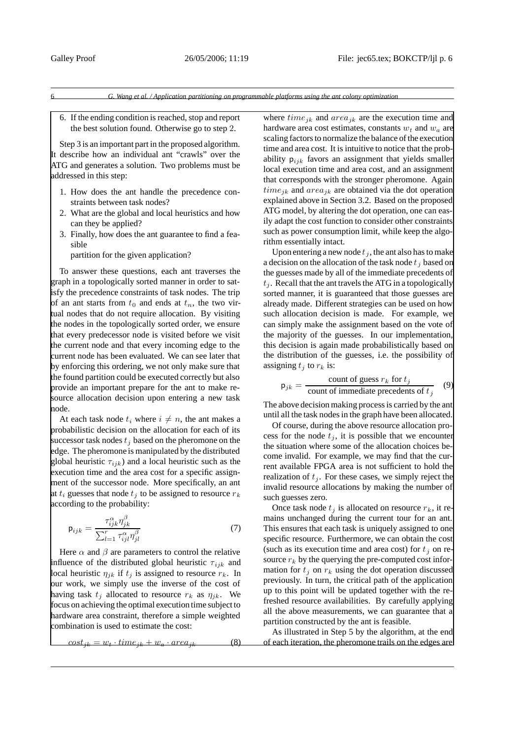- 6 *G. Wang et al. / Application partitioning on programmable platforms using the ant colony optimization*
- 6. If the ending condition is reached, stop and report the best solution found. Otherwise go to step 2.

Step 3 is an important part in the proposed algorithm. It describe how an individual ant "crawls" over the ATG and generates a solution. Two problems must be addressed in this step:

- 1. How does the ant handle the precedence constraints between task nodes?
- 2. What are the global and local heuristics and how can they be applied?
- 3. Finally, how does the ant guarantee to find a feasible

partition for the given application?

To answer these questions, each ant traverses the graph in a topologically sorted manner in order to satisfy the precedence constraints of task nodes. The trip of an ant starts from  $t_0$  and ends at  $t_n$ , the two virtual nodes that do not require allocation. By visiting the nodes in the topologically sorted order, we ensure that every predecessor node is visited before we visit the current node and that every incoming edge to the current node has been evaluated. We can see later that by enforcing this ordering, we not only make sure that the found partition could be executed correctly but also provide an important prepare for the ant to make resource allocation decision upon entering a new task node.

At each task node  $t_i$  where  $i \neq n$ , the ant makes a probabilistic decision on the allocation for each of its successor task nodes  $t_i$  based on the pheromone on the edge. The pheromone is manipulated by the distributed global heuristic  $\tau_{ijk}$ ) and a local heuristic such as the execution time and the area cost for a specific assignment of the successor node. More specifically, an ant at  $t_i$  guesses that node  $t_j$  to be assigned to resource  $r_k$ according to the probability:

$$
\mathsf{p}_{ijk} = \frac{\tau_{ijk}^{\alpha} \eta_{jk}^{\beta}}{\sum_{l=1}^{r} \tau_{ijl}^{\alpha} \eta_{jl}^{\beta}}
$$
(7)

Here  $\alpha$  and  $\beta$  are parameters to control the relative influence of the distributed global heuristic  $\tau_{iik}$  and local heuristic  $\eta_{ik}$  if  $t_i$  is assigned to resource  $r_k$ . In our work, we simply use the inverse of the cost of having task  $t_i$  allocated to resource  $r_k$  as  $\eta_{ik}$ . We focus on achieving the optimal execution time subject to hardware area constraint, therefore a simple weighted combination is used to estimate the cost:

$$
cost_{jk} = w_t \cdot time_{jk} + w_a \cdot area_{jk} \tag{8}
$$

where  $time_{ik}$  and  $area_{ik}$  are the execution time and hardware area cost estimates, constants  $w_t$  and  $w_a$  are scaling factors to normalize the balance of the execution time and area cost. It is intuitive to notice that the probability  $p_{ijk}$  favors an assignment that yields smaller local execution time and area cost, and an assignment that corresponds with the stronger pheromone. Again  $time_{ik}$  and  $area_{ik}$  are obtained via the dot operation explained above in Section 3.2. Based on the proposed ATG model, by altering the dot operation, one can easily adapt the cost function to consider other constraints such as power consumption limit, while keep the algorithm essentially intact.

Upon entering a new node  $t_j$ , the ant also has to make a decision on the allocation of the task node  $t_i$  based on the guesses made by all of the immediate precedents of  $t_i$ . Recall that the ant travels the ATG in a topologically sorted manner, it is guaranteed that those guesses are already made. Different strategies can be used on how such allocation decision is made. For example, we can simply make the assignment based on the vote of the majority of the guesses. In our implementation, this decision is again made probabilistically based on the distribution of the guesses, i.e. the possibility of assigning  $t_i$  to  $r_k$  is:

$$
p_{jk} = \frac{\text{count of guess } r_k \text{ for } t_j}{\text{count of immediate precedents of } t_j} \quad (9)
$$

The above decision making process is carried by the ant until all the task nodes in the graph have been allocated.

Of course, during the above resource allocation process for the node  $t_i$ , it is possible that we encounter the situation where some of the allocation choices become invalid. For example, we may find that the current available FPGA area is not sufficient to hold the realization of  $t_i$ . For these cases, we simply reject the invalid resource allocations by making the number of such guesses zero.

Once task node  $t_j$  is allocated on resource  $r_k$ , it remains unchanged during the current tour for an ant. This ensures that each task is uniquely assigned to one specific resource. Furthermore, we can obtain the cost (such as its execution time and area cost) for  $t_i$  on resource  $r_k$  by the querying the pre-computed cost information for  $t_i$  on  $r_k$  using the dot operation discussed previously. In turn, the critical path of the application up to this point will be updated together with the refreshed resource availabilities. By carefully applying all the above measurements, we can guarantee that a partition constructed by the ant is feasible.

As illustrated in Step 5 by the algorithm, at the end of each iteration, the pheromone trails on the edges are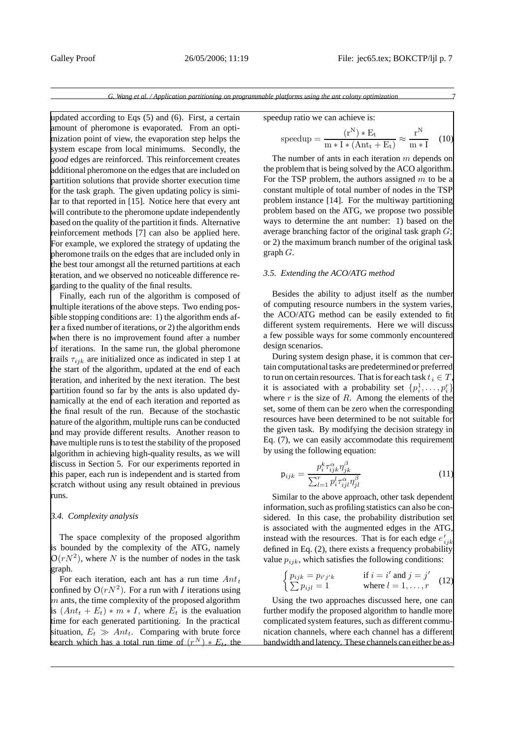updated according to Eqs (5) and (6). First, a certain amount of pheromone is evaporated. From an optimization point of view, the evaporation step helps the system escape from local minimums. Secondly, the *good* edges are reinforced. This reinforcement creates additional pheromone on the edges that are included on partition solutions that provide shorter execution time for the task graph. The given updating policy is similar to that reported in [15]. Notice here that every ant will contribute to the pheromone update independently based on the quality of the partition it finds. Alternative reinforcement methods [7] can also be applied here. For example, we explored the strategy of updating the pheromone trails on the edges that are included only in the best tour amongst all the returned partitions at each iteration, and we observed no noticeable difference regarding to the quality of the final results.

Finally, each run of the algorithm is composed of multiple iterations of the above steps. Two ending possible stopping conditions are: 1) the algorithm ends after a fixed number of iterations, or 2) the algorithm ends when there is no improvement found after a number of iterations. In the same run, the global pheromone trails  $\tau_{ijk}$  are initialized once as indicated in step 1 at the start of the algorithm, updated at the end of each iteration, and inherited by the next iteration. The best partition found so far by the ants is also updated dynamically at the end of each iteration and reported as the final result of the run. Because of the stochastic nature of the algorithm, multiple runs can be conducted and may provide different results. Another reason to have multiple runs is to test the stability of the proposed algorithm in achieving high-quality results, as we will discuss in Section 5. For our experiments reported in this paper, each run is independent and is started from scratch without using any result obtained in previous runs.

### *3.4. Complexity analysis*

The space complexity of the proposed algorithm is bounded by the complexity of the ATG, namely  $O(rN^2)$ , where N is the number of nodes in the task graph.

For each iteration, each ant has a run time  $Ant<sub>t</sub>$ confined by  $O(rN^2)$ . For a run with I iterations using  $m$  ants, the time complexity of the proposed algorithm is  $(Ant_t + E_t) * m * I$ , where  $E_t$  is the evaluation time for each generated partitioning. In the practical situation,  $E_t \gg Ant_t$ . Comparing with brute force search which has a total run time of  $(r^N) * E_t$ , the speedup ratio we can achieve is:

$$
\text{speedup} = \frac{(r^N) * E_t}{m * I * (Ant_t + E_t)} \approx \frac{r^N}{m * I} \quad (10)
$$

The number of ants in each iteration  $m$  depends on the problem that is being solved by the ACO algorithm. For the TSP problem, the authors assigned  $m$  to be a constant multiple of total number of nodes in the TSP problem instance [14]. For the multiway partitioning problem based on the ATG, we propose two possible ways to determine the ant number: 1) based on the average branching factor of the original task graph  $G$ ; or 2) the maximum branch number of the original task graph  $G$ .

## *3.5. Extending the ACO/ATG method*

Besides the ability to adjust itself as the number of computing resource numbers in the system varies, the ACO/ATG method can be easily extended to fit different system requirements. Here we will discuss a few possible ways for some commonly encountered design scenarios.

During system design phase, it is common that certain computational tasks are predetermined or preferred to run on certain resources. That is for each task  $t_i \in T$ , it is associated with a probability set  $\{p_i^1, \ldots, p_i^r\}$ where  $r$  is the size of  $R$ . Among the elements of the set, some of them can be zero when the corresponding resources have been determined to be not suitable for the given task. By modifying the decision strategy in Eq. (7), we can easily accommodate this requirement by using the following equation:

$$
\mathsf{p}_{ijk} = \frac{p_i^k \tau_{ijk}^\alpha \eta_{jk}^\beta}{\sum_{l=1}^r p_i^l \tau_{ij}^\alpha \eta_{jl}^\beta} \tag{11}
$$

Similar to the above approach, other task dependent information, such as profiling statistics can also be considered. In this case, the probability distribution set is associated with the augmented edges in the ATG, instead with the resources. That is for each edge  $e'_{ijk}$ defined in Eq. (2), there exists a frequency probability value  $p_{ijk}$ , which satisfies the following conditions:

$$
\begin{cases} p_{ijk} = p_{i'j'k} & \text{if } i = i' \text{ and } j = j'\\ \sum p_{ijl} = 1 & \text{where } l = 1, \dots, r \end{cases}
$$
 (12)

Using the two approaches discussed here, one can further modify the proposed algorithm to handle more complicated system features, such as different communication channels, where each channel has a different bandwidth and latency. These channels can either be as-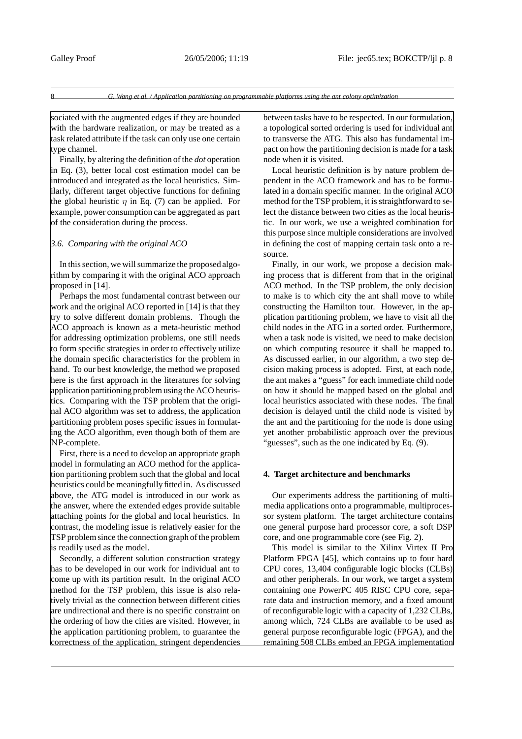sociated with the augmented edges if they are bounded with the hardware realization, or may be treated as a task related attribute if the task can only use one certain type channel.

Finally, by altering the definition of the *dot* operation in Eq. (3), better local cost estimation model can be introduced and integrated as the local heuristics. Similarly, different target objective functions for defining the global heuristic  $\eta$  in Eq. (7) can be applied. For example, power consumption can be aggregated as part of the consideration during the process.

## *3.6. Comparing with the original ACO*

In this section, we will summarize the proposed algorithm by comparing it with the original ACO approach proposed in [14].

Perhaps the most fundamental contrast between our work and the original ACO reported in [14] is that they try to solve different domain problems. Though the ACO approach is known as a meta-heuristic method for addressing optimization problems, one still needs to form specific strategies in order to effectively utilize the domain specific characteristics for the problem in hand. To our best knowledge, the method we proposed here is the first approach in the literatures for solving application partitioning problem using the ACO heuristics. Comparing with the TSP problem that the original ACO algorithm was set to address, the application partitioning problem poses specific issues in formulating the ACO algorithm, even though both of them are NP-complete.

First, there is a need to develop an appropriate graph model in formulating an ACO method for the application partitioning problem such that the global and local heuristics could be meaningfully fitted in. As discussed above, the ATG model is introduced in our work as the answer, where the extended edges provide suitable attaching points for the global and local heuristics. In contrast, the modeling issue is relatively easier for the TSP problem since the connection graph of the problem is readily used as the model.

Secondly, a different solution construction strategy has to be developed in our work for individual ant to come up with its partition result. In the original ACO method for the TSP problem, this issue is also relatively trivial as the connection between different cities are undirectional and there is no specific constraint on the ordering of how the cities are visited. However, in the application partitioning problem, to guarantee the correctness of the application, stringent dependencies between tasks have to be respected. In our formulation, a topological sorted ordering is used for individual ant to transverse the ATG. This also has fundamental impact on how the partitioning decision is made for a task node when it is visited.

Local heuristic definition is by nature problem dependent in the ACO framework and has to be formulated in a domain specific manner. In the original ACO method for the TSP problem, it is straightforward to select the distance between two cities as the local heuristic. In our work, we use a weighted combination for this purpose since multiple considerations are involved in defining the cost of mapping certain task onto a resource.

Finally, in our work, we propose a decision making process that is different from that in the original ACO method. In the TSP problem, the only decision to make is to which city the ant shall move to while constructing the Hamilton tour. However, in the application partitioning problem, we have to visit all the child nodes in the ATG in a sorted order. Furthermore, when a task node is visited, we need to make decision on which computing resource it shall be mapped to. As discussed earlier, in our algorithm, a two step decision making process is adopted. First, at each node, the ant makes a "guess" for each immediate child node on how it should be mapped based on the global and local heuristics associated with these nodes. The final decision is delayed until the child node is visited by the ant and the partitioning for the node is done using yet another probabilistic approach over the previous "guesses", such as the one indicated by Eq. (9).

#### **4. Target architecture and benchmarks**

Our experiments address the partitioning of multimedia applications onto a programmable, multiprocessor system platform. The target architecture contains one general purpose hard processor core, a soft DSP core, and one programmable core (see Fig. 2).

This model is similar to the Xilinx Virtex II Pro Platform FPGA [45], which contains up to four hard CPU cores, 13,404 configurable logic blocks (CLBs) and other peripherals. In our work, we target a system containing one PowerPC 405 RISC CPU core, separate data and instruction memory, and a fixed amount of reconfigurable logic with a capacity of 1,232 CLBs, among which, 724 CLBs are available to be used as general purpose reconfigurable logic (FPGA), and the remaining 508 CLBs embed an FPGA implementation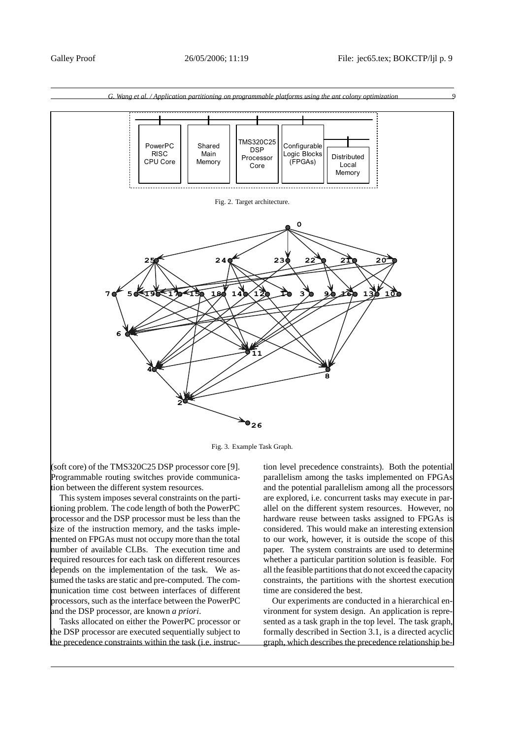



Fig. 3. Example Task Graph.

(soft core) of the TMS320C25 DSP processor core [9]. Programmable routing switches provide communication between the different system resources.

This system imposes several constraints on the partitioning problem. The code length of both the PowerPC processor and the DSP processor must be less than the size of the instruction memory, and the tasks implemented on FPGAs must not occupy more than the total number of available CLBs. The execution time and required resources for each task on different resources depends on the implementation of the task. We assumed the tasks are static and pre-computed. The communication time cost between interfaces of different processors, such as the interface between the PowerPC and the DSP processor, are known *a priori*.

Tasks allocated on either the PowerPC processor or the DSP processor are executed sequentially subject to the precedence constraints within the task (i.e. instruction level precedence constraints). Both the potential parallelism among the tasks implemented on FPGAs and the potential parallelism among all the processors are explored, i.e. concurrent tasks may execute in parallel on the different system resources. However, no hardware reuse between tasks assigned to FPGAs is considered. This would make an interesting extension to our work, however, it is outside the scope of this paper. The system constraints are used to determine whether a particular partition solution is feasible. For all the feasible partitions that do not exceed the capacity constraints, the partitions with the shortest execution time are considered the best.

Our experiments are conducted in a hierarchical environment for system design. An application is represented as a task graph in the top level. The task graph, formally described in Section 3.1, is a directed acyclic graph, which describes the precedence relationship be-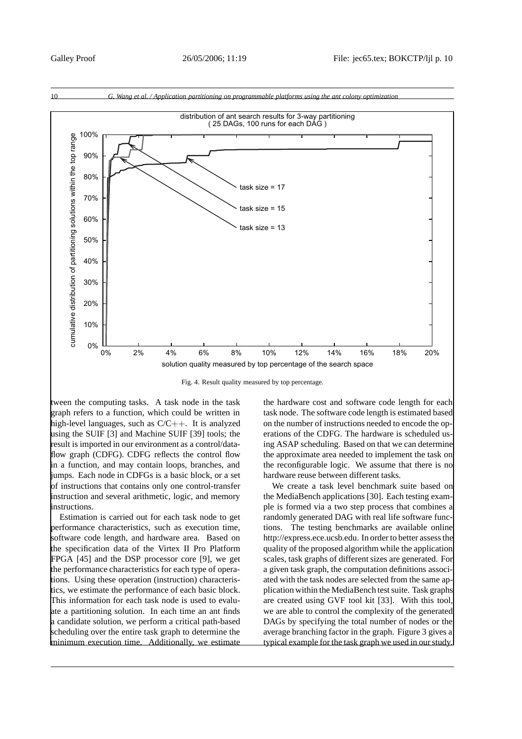

Fig. 4. Result quality measured by top percentage.

tween the computing tasks. A task node in the task graph refers to a function, which could be written in high-level languages, such as  $C/C++$ . It is analyzed using the SUIF [3] and Machine SUIF [39] tools; the result is imported in our environment as a control/dataflow graph (CDFG). CDFG reflects the control flow in a function, and may contain loops, branches, and jumps. Each node in CDFGs is a basic block, or a set of instructions that contains only one control-transfer instruction and several arithmetic, logic, and memory instructions.

Estimation is carried out for each task node to get performance characteristics, such as execution time, software code length, and hardware area. Based on the specification data of the Virtex II Pro Platform FPGA [45] and the DSP processor core [9], we get the performance characteristics for each type of operations. Using these operation (instruction) characteristics, we estimate the performance of each basic block. This information for each task node is used to evaluate a partitioning solution. In each time an ant finds a candidate solution, we perform a critical path-based scheduling over the entire task graph to determine the minimum execution time. Additionally, we estimate the hardware cost and software code length for each task node. The software code length is estimated based on the number of instructions needed to encode the operations of the CDFG. The hardware is scheduled using ASAP scheduling. Based on that we can determine the approximate area needed to implement the task on the reconfigurable logic. We assume that there is no hardware reuse between different tasks.

We create a task level benchmark suite based on the MediaBench applications [30]. Each testing example is formed via a two step process that combines a randomly generated DAG with real life software functions. The testing benchmarks are available online http://express.ece.ucsb.edu. In order to better assess the quality of the proposed algorithm while the application scales, task graphs of different sizes are generated. For a given task graph, the computation definitions associated with the task nodes are selected from the same application within the MediaBench test suite. Task graphs are created using GVF tool kit [33]. With this tool, we are able to control the complexity of the generated DAGs by specifying the total number of nodes or the average branching factor in the graph. Figure 3 gives a typical example for the task graph we used in our study.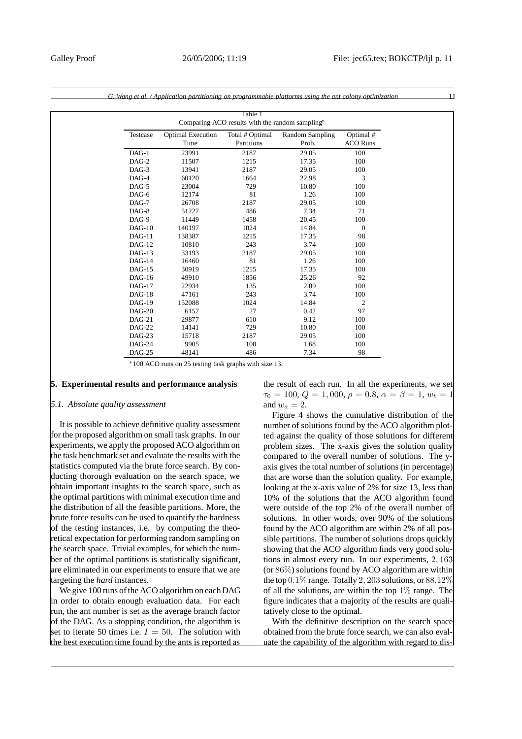|          |                          | Table 1                                         |                 |                 |
|----------|--------------------------|-------------------------------------------------|-----------------|-----------------|
|          |                          | Comparing ACO results with the random sampling* |                 |                 |
| Testcase | <b>Optimal Execution</b> | Total # Optimal                                 | Random Sampling | Optimal #       |
|          | Time                     | Partitions                                      | Prob.           | <b>ACO Runs</b> |
| $DAG-1$  | 23991                    | 2187                                            | 29.05           | 100             |
| $DAG-2$  | 11507                    | 1215                                            | 17.35           | 100             |
| DAG-3    | 13941                    | 2187                                            | 29.05           | 100             |
| $DAG-4$  | 60120                    | 1664                                            | 22.98           | 3               |
| $DAG-5$  | 23004                    | 729                                             | 10.80           | 100             |
| DAG-6    | 12174                    | 81                                              | 1.26            | 100             |
| $DAG-7$  | 26708                    | 2187                                            | 29.05           | 100             |
| DAG-8    | 51227                    | 486                                             | 7.34            | 71              |
| DAG-9    | 11449                    | 1458                                            | 20.45           | 100             |
| $DAG-10$ | 140197                   | 1024                                            | 14.84           | $\mathbf{0}$    |
| $DAG-11$ | 138387                   | 1215                                            | 17.35           | 98              |
| $DAG-12$ | 10810                    | 243                                             | 3.74            | 100             |
| $DAG-13$ | 33193                    | 2187                                            | 29.05           | 100             |
| $DAG-14$ | 16460                    | 81                                              | 1.26            | 100             |
| $DAG-15$ | 30919                    | 1215                                            | 17.35           | 100             |
| $DAG-16$ | 49910                    | 1856                                            | 25.26           | 92              |
| $DAG-17$ | 22934                    | 135                                             | 2.09            | 100             |
| $DAG-18$ | 47161                    | 243                                             | 3.74            | 100             |
| $DAG-19$ | 152088                   | 1024                                            | 14.84           | $\overline{2}$  |
| $DAG-20$ | 6157                     | 27                                              | 0.42            | 97              |
| $DAG-21$ | 29877                    | 610                                             | 9.12            | 100             |
| $DAG-22$ | 14141                    | 729                                             | 10.80           | 100             |
| $DAG-23$ | 15718                    | 2187                                            | 29.05           | 100             |
| $DAG-24$ | 9905                     | 108                                             | 1.68            | 100             |

DAG-25 48141 486 7.34 98

*G. Wang et al. / Application partitioning on programmable platforms using the ant colony optimization* 11

∗100 ACO runs on 25 testing task graphs with size 13.

# **5. Experimental results and performance analysis**

#### *5.1. Absolute quality assessment*

It is possible to achieve definitive quality assessment for the proposed algorithm on small task graphs. In our experiments, we apply the proposed ACO algorithm on the task benchmark set and evaluate the results with the statistics computed via the brute force search. By conducting thorough evaluation on the search space, we obtain important insights to the search space, such as the optimal partitions with minimal execution time and the distribution of all the feasible partitions. More, the brute force results can be used to quantify the hardness of the testing instances, i.e. by computing the theoretical expectation for performing random sampling on the search space. Trivial examples, for which the number of the optimal partitions is statistically significant, are eliminated in our experiments to ensure that we are targeting the *hard* instances.

We give 100 runs of the ACO algorithm on each DAG in order to obtain enough evaluation data. For each run, the ant number is set as the average branch factor of the DAG. As a stopping condition, the algorithm is set to iterate 50 times i.e.  $I = 50$ . The solution with the best execution time found by the ants is reported as the result of each run. In all the experiments, we set  $\tau_0 = 100, Q = 1,000, \rho = 0.8, \alpha = \beta = 1, w_t = 1$ and  $w_a = 2$ .

Figure 4 shows the cumulative distribution of the number of solutions found by the ACO algorithm plotted against the quality of those solutions for different problem sizes. The x-axis gives the solution quality compared to the overall number of solutions. The yaxis gives the total number of solutions (in percentage) that are worse than the solution quality. For example, looking at the x-axis value of 2% for size 13, less than 10% of the solutions that the ACO algorithm found were outside of the top 2% of the overall number of solutions. In other words, over 90% of the solutions found by the ACO algorithm are within 2% of all possible partitions. The number of solutions drops quickly showing that the ACO algorithm finds very good solutions in almost every run. In our experiments, 2, 163 (or 86%) solutions found by ACO algorithm are within the top  $0.1\%$  range. Totally 2, 203 solutions, or  $88.12\%$ of all the solutions, are within the top  $1\%$  range. The figure indicates that a majority of the results are qualitatively close to the optimal.

With the definitive description on the search space obtained from the brute force search, we can also evaluate the capability of the algorithm with regard to dis-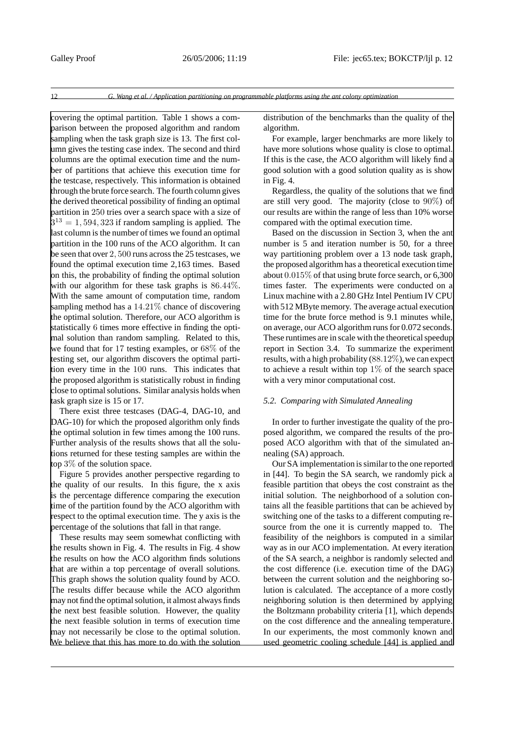covering the optimal partition. Table 1 shows a comparison between the proposed algorithm and random sampling when the task graph size is 13. The first column gives the testing case index. The second and third columns are the optimal execution time and the number of partitions that achieve this execution time for the testcase, respectively. This information is obtained through the brute force search. The fourth column gives the derived theoretical possibility of finding an optimal partition in 250 tries over a search space with a size of  $5^{13} = 1,594,323$  if random sampling is applied. The last column is the number of times we found an optimal partition in the 100 runs of the ACO algorithm. It can be seen that over 2, 500 runs across the 25 testcases, we found the optimal execution time 2,163 times. Based on this, the probability of finding the optimal solution with our algorithm for these task graphs is 86.44%. With the same amount of computation time, random sampling method has a  $14.21\%$  chance of discovering the optimal solution. Therefore, our ACO algorithm is statistically 6 times more effective in finding the optimal solution than random sampling. Related to this, we found that for 17 testing examples, or 68% of the testing set, our algorithm discovers the optimal partition every time in the 100 runs. This indicates that the proposed algorithm is statistically robust in finding close to optimal solutions. Similar analysis holds when task graph size is 15 or 17.

There exist three testcases (DAG-4, DAG-10, and DAG-10) for which the proposed algorithm only finds the optimal solution in few times among the 100 runs. Further analysis of the results shows that all the solutions returned for these testing samples are within the top 3% of the solution space.

Figure 5 provides another perspective regarding to the quality of our results. In this figure, the x axis is the percentage difference comparing the execution time of the partition found by the ACO algorithm with respect to the optimal execution time. The y axis is the percentage of the solutions that fall in that range.

These results may seem somewhat conflicting with the results shown in Fig. 4. The results in Fig. 4 show the results on how the ACO algorithm finds solutions that are within a top percentage of overall solutions. This graph shows the solution quality found by ACO. The results differ because while the ACO algorithm may not find the optimal solution, it almost always finds the next best feasible solution. However, the quality the next feasible solution in terms of execution time may not necessarily be close to the optimal solution. We believe that this has more to do with the solution distribution of the benchmarks than the quality of the algorithm.

For example, larger benchmarks are more likely to have more solutions whose quality is close to optimal. If this is the case, the ACO algorithm will likely find a good solution with a good solution quality as is show in Fig. 4.

Regardless, the quality of the solutions that we find are still very good. The majority (close to 90%) of our results are within the range of less than 10% worse compared with the optimal execution time.

Based on the discussion in Section 3, when the ant number is 5 and iteration number is 50, for a three way partitioning problem over a 13 node task graph, the proposed algorithm has a theoretical execution time about 0.015% of that using brute force search, or 6,300 times faster. The experiments were conducted on a Linux machine with a 2.80 GHz Intel Pentium IV CPU with 512 MByte memory. The average actual execution time for the brute force method is 9.1 minutes while, on average, our ACO algorithm runs for 0.072 seconds. These runtimes are in scale with the theoretical speedup report in Section 3.4. To summarize the experiment results, with a high probability  $(88.12\%)$ , we can expect to achieve a result within top 1% of the search space with a very minor computational cost.

## *5.2. Comparing with Simulated Annealing*

In order to further investigate the quality of the proposed algorithm, we compared the results of the proposed ACO algorithm with that of the simulated annealing (SA) approach.

Our SA implementation is similar to the one reported in [44]. To begin the SA search, we randomly pick a feasible partition that obeys the cost constraint as the initial solution. The neighborhood of a solution contains all the feasible partitions that can be achieved by switching one of the tasks to a different computing resource from the one it is currently mapped to. The feasibility of the neighbors is computed in a similar way as in our ACO implementation. At every iteration of the SA search, a neighbor is randomly selected and the cost difference (i.e. execution time of the DAG) between the current solution and the neighboring solution is calculated. The acceptance of a more costly neighboring solution is then determined by applying the Boltzmann probability criteria [1], which depends on the cost difference and the annealing temperature. In our experiments, the most commonly known and used geometric cooling schedule [44] is applied and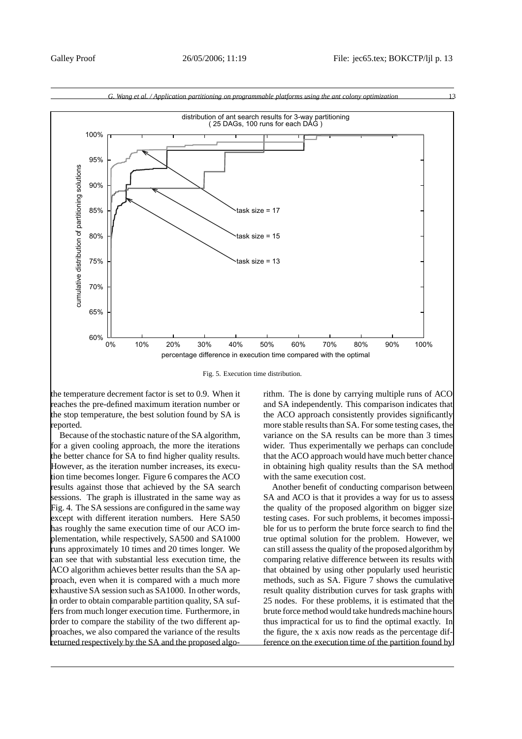

Fig. 5. Execution time distribution.

the temperature decrement factor is set to 0.9. When it reaches the pre-defined maximum iteration number or the stop temperature, the best solution found by SA is reported.

Because of the stochastic nature of the SA algorithm, for a given cooling approach, the more the iterations the better chance for SA to find higher quality results. However, as the iteration number increases, its execution time becomes longer. Figure 6 compares the ACO results against those that achieved by the SA search sessions. The graph is illustrated in the same way as Fig. 4. The SA sessions are configured in the same way except with different iteration numbers. Here SA50 has roughly the same execution time of our ACO implementation, while respectively, SA500 and SA1000 runs approximately 10 times and 20 times longer. We can see that with substantial less execution time, the ACO algorithm achieves better results than the SA approach, even when it is compared with a much more exhaustive SA session such as SA1000. In other words, in order to obtain comparable partition quality, SA suffers from much longer execution time. Furthermore, in order to compare the stability of the two different approaches, we also compared the variance of the results returned respectively by the SA and the proposed algorithm. The is done by carrying multiple runs of ACO and SA independently. This comparison indicates that the ACO approach consistently provides significantly more stable results than SA. For some testing cases, the variance on the SA results can be more than 3 times wider. Thus experimentally we perhaps can conclude that the ACO approach would have much better chance in obtaining high quality results than the SA method with the same execution cost.

Another benefit of conducting comparison between SA and ACO is that it provides a way for us to assess the quality of the proposed algorithm on bigger size testing cases. For such problems, it becomes impossible for us to perform the brute force search to find the true optimal solution for the problem. However, we can still assess the quality of the proposed algorithm by comparing relative difference between its results with that obtained by using other popularly used heuristic methods, such as SA. Figure 7 shows the cumulative result quality distribution curves for task graphs with 25 nodes. For these problems, it is estimated that the brute force method would take hundreds machine hours thus impractical for us to find the optimal exactly. In the figure, the x axis now reads as the percentage difference on the execution time of the partition found by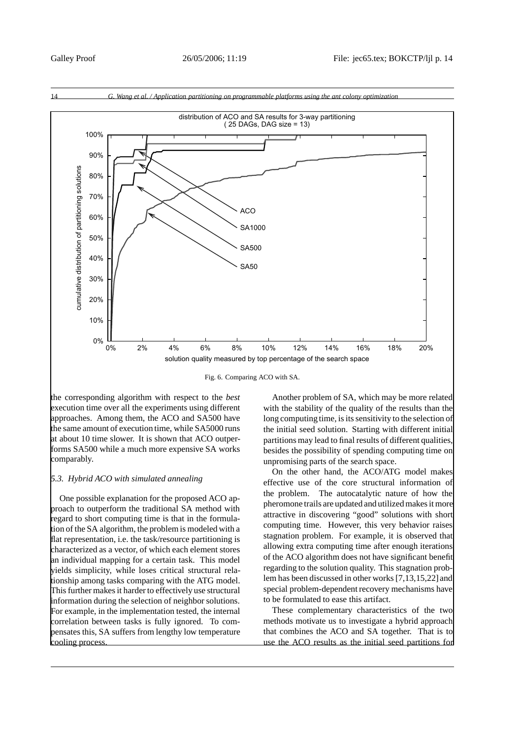

Fig. 6. Comparing ACO with SA.

the corresponding algorithm with respect to the *best* execution time over all the experiments using different approaches. Among them, the ACO and SA500 have the same amount of execution time, while SA5000 runs at about 10 time slower. It is shown that ACO outperforms SA500 while a much more expensive SA works comparably.

# *5.3. Hybrid ACO with simulated annealing*

One possible explanation for the proposed ACO approach to outperform the traditional SA method with regard to short computing time is that in the formulation of the SA algorithm, the problem is modeled with a flat representation, i.e. the task/resource partitioning is characterized as a vector, of which each element stores an individual mapping for a certain task. This model yields simplicity, while loses critical structural relationship among tasks comparing with the ATG model. This further makes it harder to effectively use structural information during the selection of neighbor solutions. For example, in the implementation tested, the internal correlation between tasks is fully ignored. To compensates this, SA suffers from lengthy low temperature cooling process.

Another problem of SA, which may be more related with the stability of the quality of the results than the long computing time, is its sensitivity to the selection of the initial seed solution. Starting with different initial partitions may lead to final results of different qualities, besides the possibility of spending computing time on unpromising parts of the search space.

On the other hand, the ACO/ATG model makes effective use of the core structural information of the problem. The autocatalytic nature of how the pheromone trails are updated and utilized makes it more attractive in discovering "good" solutions with short computing time. However, this very behavior raises stagnation problem. For example, it is observed that allowing extra computing time after enough iterations of the ACO algorithm does not have significant benefit regarding to the solution quality. This stagnation problem has been discussed in other works [7,13,15,22] and special problem-dependent recovery mechanisms have to be formulated to ease this artifact.

These complementary characteristics of the two methods motivate us to investigate a hybrid approach that combines the ACO and SA together. That is to use the ACO results as the initial seed partitions for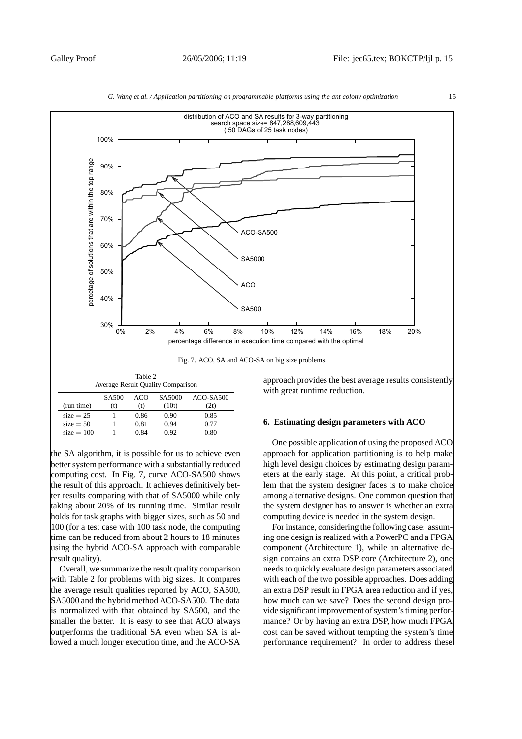



| AVERIGE RESULT QUALITY COMPANISON |                   |      |        |             |  |  |
|-----------------------------------|-------------------|------|--------|-------------|--|--|
|                                   | SA <sub>500</sub> | ACO  | SA5000 | $ACO-SA500$ |  |  |
| (run time)                        | (t)               | (t)  | (10t)  | (2t)        |  |  |
| $size = 25$                       |                   | 0.86 | 0.90   | 0.85        |  |  |
| $size = 50$                       |                   | 0.81 | 0.94   | 0.77        |  |  |
| $size = 100$                      |                   | 0.84 | 0.92   | 0.80        |  |  |
|                                   |                   |      |        |             |  |  |

the SA algorithm, it is possible for us to achieve even better system performance with a substantially reduced computing cost. In Fig. 7, curve ACO-SA500 shows the result of this approach. It achieves definitively better results comparing with that of SA5000 while only taking about 20% of its running time. Similar result holds for task graphs with bigger sizes, such as 50 and 100 (for a test case with 100 task node, the computing time can be reduced from about 2 hours to 18 minutes using the hybrid ACO-SA approach with comparable result quality).

Overall, we summarize the result quality comparison with Table 2 for problems with big sizes. It compares the average result qualities reported by ACO, SA500, SA5000 and the hybrid method ACO-SA500. The data is normalized with that obtained by SA500, and the smaller the better. It is easy to see that ACO always outperforms the traditional SA even when SA is allowed a much longer execution time, and the ACO-SA

# **6. Estimating design parameters with ACO**

One possible application of using the proposed ACO approach for application partitioning is to help make high level design choices by estimating design parameters at the early stage. At this point, a critical problem that the system designer faces is to make choice among alternative designs. One common question that the system designer has to answer is whether an extra computing device is needed in the system design.

For instance, considering the following case: assuming one design is realized with a PowerPC and a FPGA component (Architecture 1), while an alternative design contains an extra DSP core (Architecture 2), one needs to quickly evaluate design parameters associated with each of the two possible approaches. Does adding an extra DSP result in FPGA area reduction and if yes, how much can we save? Does the second design provide significant improvement of system's timing performance? Or by having an extra DSP, how much FPGA cost can be saved without tempting the system's time performance requirement? In order to address these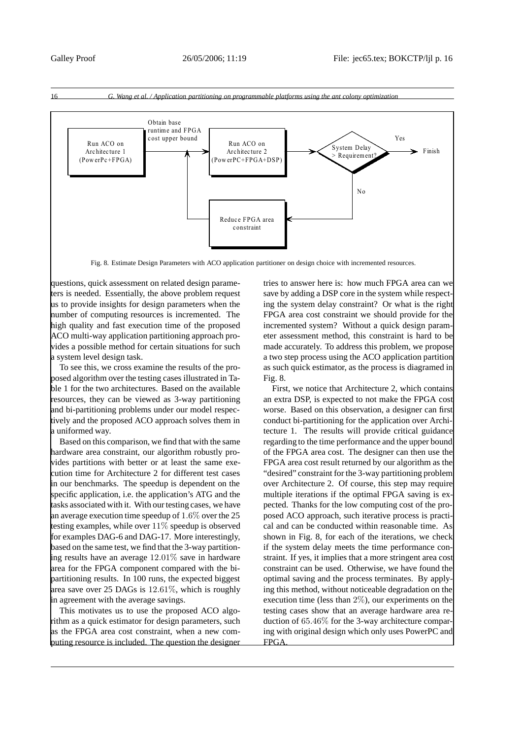

Fig. 8. Estimate Design Parameters with ACO application partitioner on design choice with incremented resources.

questions, quick assessment on related design parameters is needed. Essentially, the above problem request us to provide insights for design parameters when the number of computing resources is incremented. The high quality and fast execution time of the proposed ACO multi-way application partitioning approach provides a possible method for certain situations for such a system level design task.

To see this, we cross examine the results of the proposed algorithm over the testing cases illustrated in Table 1 for the two architectures. Based on the available resources, they can be viewed as 3-way partitioning and bi-partitioning problems under our model respectively and the proposed ACO approach solves them in a uniformed way.

Based on this comparison, we find that with the same hardware area constraint, our algorithm robustly provides partitions with better or at least the same execution time for Architecture 2 for different test cases in our benchmarks. The speedup is dependent on the specific application, i.e. the application's ATG and the tasks associated with it. With our testing cases, we have an average execution time speedup of 1.6% over the 25 testing examples, while over  $11\%$  speedup is observed for examples DAG-6 and DAG-17. More interestingly, based on the same test, we find that the 3-way partitioning results have an average 12.01% save in hardware area for the FPGA component compared with the bipartitioning results. In 100 runs, the expected biggest area save over 25 DAGs is 12.61%, which is roughly in agreement with the average savings.

This motivates us to use the proposed ACO algorithm as a quick estimator for design parameters, such as the FPGA area cost constraint, when a new computing resource is included. The question the designer tries to answer here is: how much FPGA area can we save by adding a DSP core in the system while respecting the system delay constraint? Or what is the right FPGA area cost constraint we should provide for the incremented system? Without a quick design parameter assessment method, this constraint is hard to be made accurately. To address this problem, we propose a two step process using the ACO application partition as such quick estimator, as the process is diagramed in Fig. 8.

First, we notice that Architecture 2, which contains an extra DSP, is expected to not make the FPGA cost worse. Based on this observation, a designer can first conduct bi-partitioning for the application over Architecture 1. The results will provide critical guidance regarding to the time performance and the upper bound of the FPGA area cost. The designer can then use the FPGA area cost result returned by our algorithm as the "desired" constraint for the 3-way partitioning problem over Architecture 2. Of course, this step may require multiple iterations if the optimal FPGA saving is expected. Thanks for the low computing cost of the proposed ACO approach, such iterative process is practical and can be conducted within reasonable time. As shown in Fig. 8, for each of the iterations, we check if the system delay meets the time performance constraint. If yes, it implies that a more stringent area cost constraint can be used. Otherwise, we have found the optimal saving and the process terminates. By applying this method, without noticeable degradation on the execution time (less than  $2\%$ ), our experiments on the testing cases show that an average hardware area reduction of 65.46% for the 3-way architecture comparing with original design which only uses PowerPC and FPGA.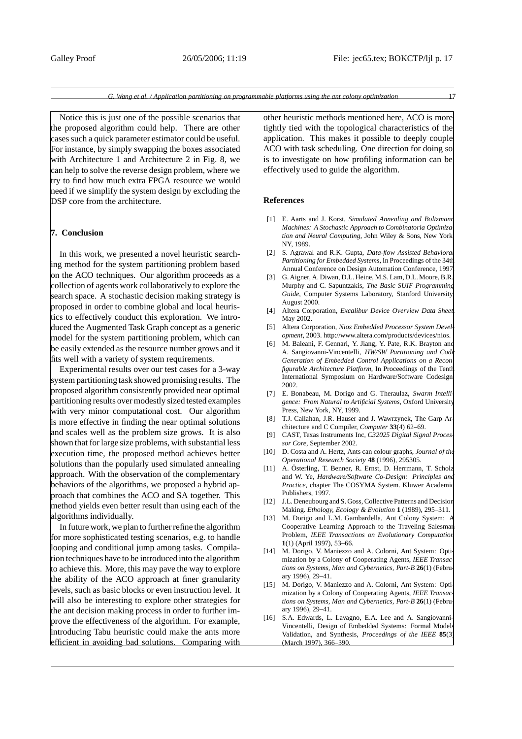Notice this is just one of the possible scenarios that the proposed algorithm could help. There are other cases such a quick parameter estimator could be useful. For instance, by simply swapping the boxes associated with Architecture 1 and Architecture 2 in Fig. 8, we can help to solve the reverse design problem, where we try to find how much extra FPGA resource we would need if we simplify the system design by excluding the DSP core from the architecture.

### **7. Conclusion**

In this work, we presented a novel heuristic searching method for the system partitioning problem based on the ACO techniques. Our algorithm proceeds as a collection of agents work collaboratively to explore the search space. A stochastic decision making strategy is proposed in order to combine global and local heuristics to effectively conduct this exploration. We introduced the Augmented Task Graph concept as a generic model for the system partitioning problem, which can be easily extended as the resource number grows and it fits well with a variety of system requirements.

Experimental results over our test cases for a 3-way system partitioning task showed promising results. The proposed algorithm consistently provided near optimal partitioning results over modestly sized tested examples with very minor computational cost. Our algorithm is more effective in finding the near optimal solutions and scales well as the problem size grows. It is also shown that for large size problems, with substantial less execution time, the proposed method achieves better solutions than the popularly used simulated annealing approach. With the observation of the complementary behaviors of the algorithms, we proposed a hybrid approach that combines the ACO and SA together. This method yields even better result than using each of the algorithms individually.

In future work, we plan to further refine the algorithm for more sophisticated testing scenarios, e.g. to handle looping and conditional jump among tasks. Compilation techniques have to be introduced into the algorithm to achieve this. More, this may pave the way to explore the ability of the ACO approach at finer granularity levels, such as basic blocks or even instruction level. It will also be interesting to explore other strategies for the ant decision making process in order to further improve the effectiveness of the algorithm. For example, introducing Tabu heuristic could make the ants more efficient in avoiding bad solutions. Comparing with other heuristic methods mentioned here, ACO is more tightly tied with the topological characteristics of the application. This makes it possible to deeply couple ACO with task scheduling. One direction for doing so is to investigate on how profiling information can be effectively used to guide the algorithm.

#### **References**

- [1] E. Aarts and J. Korst, *Simulated Annealing and Boltzmann Machines: A Stochastic Approach to Combinatoria Optimization and Neural Computing*, John Wiley & Sons, New York, NY, 1989.
- [2] S. Agrawal and R.K. Gupta, *Data-flow Assisted Behavioral Partitioning for Embedded Systems*, In Proceedings of the 34th Annual Conference on Design Automation Conference, 1997.
- [3] G. Aigner, A. Diwan, D.L. Heine, M.S. Lam, D.L. Moore, B.R. Murphy and C. Sapuntzakis, *The Basic SUIF Programming Guide*, Computer Systems Laboratory, Stanford University, August 2000.
- [4] Altera Corporation, *Excalibur Device Overview Data Sheet*, May 2002.
- [5] Altera Corporation, *Nios Embedded Processor System Development*, 2003. http://www.altera.com/products/devices/nios.
- [6] M. Baleani, F. Gennari, Y. Jiang, Y. Pate, R.K. Brayton and A. Sangiovanni-Vincentelli, *HW/SW Partitioning and Code Generation of Embedded Control Applications on a Reconfigurable Architecture Platform*, In Proceedings of the Tenth International Symposium on Hardware/Software Codesign, 2002.
- [7] E. Bonabeau, M. Dorigo and G. Theraulaz, *Swarm Intelli gence: From Natural to Artificial Systems*, Oxford University Press, New York, NY, 1999.
- [8] T.J. Callahan, J.R. Hauser and J. Wawrzynek, The Garp Architecture and C Compiler, *Computer* **33**(4) 62–69.
- [9] CAST, Texas Instruments Inc, *C32025 Digital Signal Processor Core*, September 2002.
- [10] D. Costa and A. Hertz, Ants can colour graphs, *Journal of the Operational Research Society* **48** (1996), 295305.
- [11] A. Österling, T. Benner, R. Ernst, D. Herrmann, T. Scholz and W. Ye, *Hardware/Software Co-Design: Principles and Practice*, chapter The COSYMA System. Kluwer Academic Publishers, 1997.
- [12] J.L. Deneubourg and S. Goss, Collective Patterns and Decision Making. *Ethology, Ecology & Evolution* **1** (1989), 295–311.
- [13] M. Dorigo and L.M. Gambardella, Ant Colony System: A Cooperative Learning Approach to the Traveling Salesman Problem, *IEEE Transactions on Evolutionary Computation* **1**(1) (April 1997), 53–66.
- [14] M. Dorigo, V. Maniezzo and A. Colorni, Ant System: Optimization by a Colony of Cooperating Agents, *IEEE Transactions on Systems, Man and Cybernetics, Part-B* **26**(1) (February 1996), 29–41.
- [15] M. Dorigo, V. Maniezzo and A. Colorni, Ant System: Optimization by a Colony of Cooperating Agents, *IEEE Transactions on Systems, Man and Cybernetics, Part-B* **26**(1) (February 1996), 29–41.
- [16] S.A. Edwards, L. Lavagno, E.A. Lee and A. Sangiovanni-Vincentelli, Design of Embedded Systems: Formal Models Validation, and Synthesis, *Proceedings of the IEEE* **85**(3) (March 1997), 366–390.